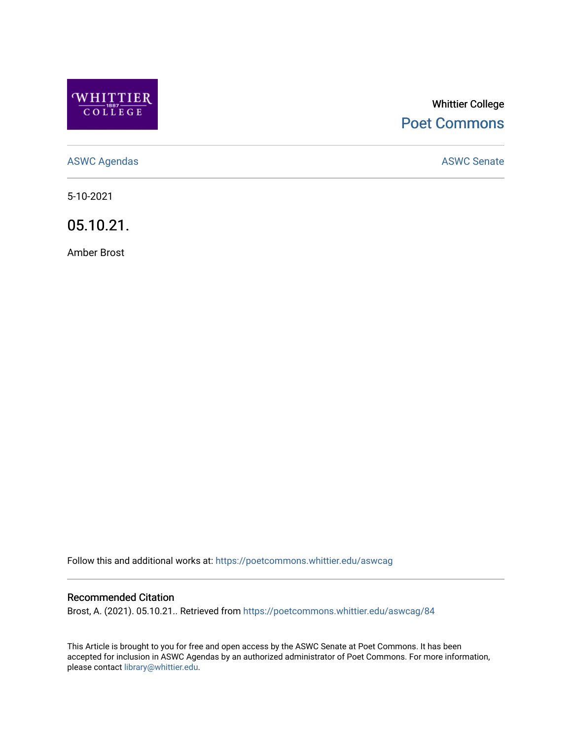

# Whittier College [Poet Commons](https://poetcommons.whittier.edu/)

[ASWC Agendas](https://poetcommons.whittier.edu/aswcag) **ASWC Senate** 

5-10-2021

05.10.21.

Amber Brost

Follow this and additional works at: [https://poetcommons.whittier.edu/aswcag](https://poetcommons.whittier.edu/aswcag?utm_source=poetcommons.whittier.edu%2Faswcag%2F84&utm_medium=PDF&utm_campaign=PDFCoverPages) 

## Recommended Citation

Brost, A. (2021). 05.10.21.. Retrieved from [https://poetcommons.whittier.edu/aswcag/84](https://poetcommons.whittier.edu/aswcag/84?utm_source=poetcommons.whittier.edu%2Faswcag%2F84&utm_medium=PDF&utm_campaign=PDFCoverPages) 

This Article is brought to you for free and open access by the ASWC Senate at Poet Commons. It has been accepted for inclusion in ASWC Agendas by an authorized administrator of Poet Commons. For more information, please contact [library@whittier.edu](mailto:library@whittier.edu).